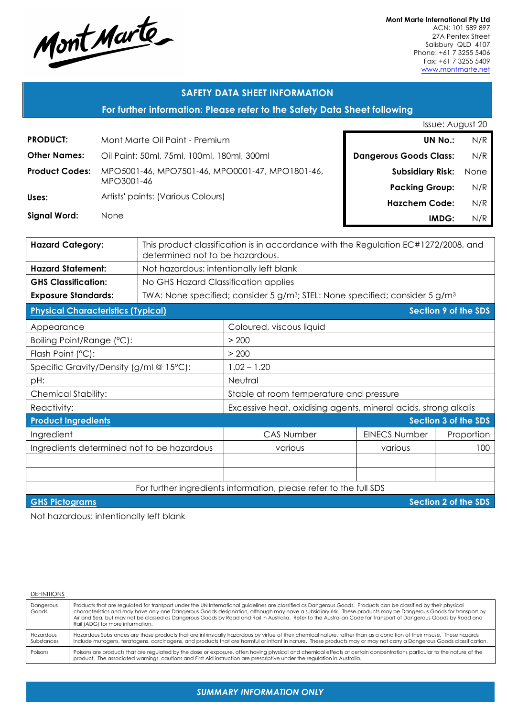

**Mont Marte International Pty Ltd** ACN: 101 589 897 27A Pentex Street Salisbury QLD 4107 Phone: +61 7 3255 5406 Fax: +61 7 3255 5409 www.montmarte.net

### **SAFETY DATA SHEET INFORMATION**

**For further information: Please refer to the Safety Data Sheet following**

|                       |                                                 | Issue: August 20              |      |
|-----------------------|-------------------------------------------------|-------------------------------|------|
| <b>PRODUCT:</b>       | Mont Marte Oil Paint - Premium                  | UN No.:                       | N/R  |
| <b>Other Names:</b>   | Oil Paint: 50ml, 75ml, 100ml, 180ml, 300ml      | <b>Dangerous Goods Class:</b> | N/R  |
| <b>Product Codes:</b> | MPO5001-46, MPO7501-46, MPO0001-47, MPO1801-46, | <b>Subsidiary Risk:</b>       | None |
|                       | MPO3001-46                                      | <b>Packing Group:</b>         | N/R  |
| Uses:                 | Artists' paints: (Various Colours)              | <b>Hazchem Code:</b>          | N/R  |
| <b>Signal Word:</b>   | <b>None</b>                                     | IMDG:                         | N/R  |

| <b>Hazard Category:</b>                                           | This product classification is in accordance with the Regulation EC#1272/2008, and<br>determined not to be hazardous. |                                                                 |                      |                             |  |
|-------------------------------------------------------------------|-----------------------------------------------------------------------------------------------------------------------|-----------------------------------------------------------------|----------------------|-----------------------------|--|
| <b>Hazard Statement:</b>                                          | Not hazardous: intentionally left blank                                                                               |                                                                 |                      |                             |  |
| <b>GHS Classification:</b>                                        | No GHS Hazard Classification applies                                                                                  |                                                                 |                      |                             |  |
| <b>Exposure Standards:</b>                                        | TWA: None specified; consider 5 $g/m^3$ ; STEL: None specified; consider 5 $g/m^3$                                    |                                                                 |                      |                             |  |
| <b>Physical Characteristics (Typical)</b>                         |                                                                                                                       |                                                                 |                      | <b>Section 9 of the SDS</b> |  |
| Appearance                                                        |                                                                                                                       | Coloured, viscous liquid                                        |                      |                             |  |
| Boiling Point/Range (°C):                                         |                                                                                                                       | > 200                                                           |                      |                             |  |
| Flash Point (°C):                                                 |                                                                                                                       | > 200                                                           |                      |                             |  |
| Specific Gravity/Density (g/ml @ 15°C):                           |                                                                                                                       | $1.02 - 1.20$                                                   |                      |                             |  |
| pH:                                                               |                                                                                                                       | Neutral                                                         |                      |                             |  |
| <b>Chemical Stability:</b>                                        |                                                                                                                       | Stable at room temperature and pressure                         |                      |                             |  |
| Reactivity:                                                       |                                                                                                                       | Excessive heat, oxidising agents, mineral acids, strong alkalis |                      |                             |  |
| <b>Product Ingredients</b>                                        |                                                                                                                       |                                                                 |                      | Section 3 of the SDS        |  |
| Ingredient                                                        |                                                                                                                       | <b>CAS Number</b>                                               | <b>EINECS Number</b> | Proportion                  |  |
| Ingredients determined not to be hazardous                        |                                                                                                                       | various                                                         | various              | 100                         |  |
|                                                                   |                                                                                                                       |                                                                 |                      |                             |  |
|                                                                   |                                                                                                                       |                                                                 |                      |                             |  |
| For further ingredients information, please refer to the full SDS |                                                                                                                       |                                                                 |                      |                             |  |
| <b>Section 2 of the SDS</b><br><b>GHS Pictograms</b>              |                                                                                                                       |                                                                 |                      |                             |  |

Not hazardous: intentionally left blank

#### DEFINITIONS

| Dangerous<br>Goods      | Products that are regulated for transport under the UN International guidelines are classified as Dangerous Goods. Products can be classified by their physical<br>characteristics and may have only one Dangerous Goods designation, although may have a subsidiary risk. These products may be Dangerous Goods for transport by<br>Air and Sea, but may not be classed as Dangerous Goods by Road and Rail in Australia. Refer to the Australian Code for Transport of Dangerous Goods by Road and<br>Rail (ADG) for more information. |
|-------------------------|------------------------------------------------------------------------------------------------------------------------------------------------------------------------------------------------------------------------------------------------------------------------------------------------------------------------------------------------------------------------------------------------------------------------------------------------------------------------------------------------------------------------------------------|
| Hazardous<br>Substances | Hazardous Substances are those products that are intrinsically hazardous by virtue of their chemical nature, rather than as a condition of their misuse. These hazards<br>include mutagens, teratogens, carcinogens, and products that are harmful or irritant in nature. These products may or may not carry a Dangerous Goods classification.                                                                                                                                                                                          |
| Poisons                 | Poisons are products that are regulated by the dose or exposure, often having physical and chemical effects at certain concentrations particular to the nature of the<br>product. The associated warnings, cautions and First Aid instruction are prescriptive under the regulation in Australia.                                                                                                                                                                                                                                        |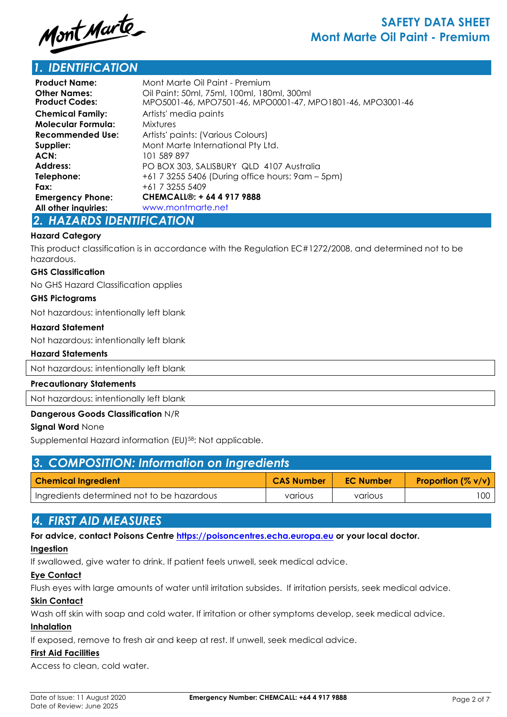

# *1. IDENTIFICATION*

| <b>Product Name:</b>                         | Mont Marte Oil Paint - Premium                                                                           |
|----------------------------------------------|----------------------------------------------------------------------------------------------------------|
| <b>Other Names:</b><br><b>Product Codes:</b> | Oil Paint: 50ml, 75ml, 100ml, 180ml, 300ml<br>MPO5001-46, MPO7501-46, MPO0001-47, MPO1801-46, MPO3001-46 |
| <b>Chemical Family:</b>                      | Artists' media paints                                                                                    |
| <b>Molecular Formula:</b>                    | <b>Mixtures</b>                                                                                          |
| <b>Recommended Use:</b>                      | Artists' paints: (Various Colours)                                                                       |
| Supplier:                                    | Mont Marte International Pty Ltd.                                                                        |
| ACN:                                         | 101 589 897                                                                                              |
| <b>Address:</b>                              | PO BOX 303, SALISBURY QLD 4107 Australia                                                                 |
| Telephone:                                   | +61 7 3255 5406 (During office hours: 9am – 5pm)                                                         |
| Fax:                                         | +61 7 3255 5409                                                                                          |
| <b>Emergency Phone:</b>                      | CHEMCALL®: + 64 4 917 9888                                                                               |
| All other inquiries:                         | www.montmarte.net                                                                                        |
| A ULATARRA IRENEIAATIANI                     |                                                                                                          |

### *2. HAZARDS IDENTIFICATION*

### **Hazard Category**

This product classification is in accordance with the Regulation EC#1272/2008, and determined not to be hazardous.

#### **GHS Classification**

No GHS Hazard Classification applies

#### **GHS Pictograms**

Not hazardous: intentionally left blank

#### **Hazard Statement**

Not hazardous: intentionally left blank

#### **Hazard Statements**

Not hazardous: intentionally left blank

#### **Precautionary Statements**

Not hazardous: intentionally left blank

### **Dangerous Goods Classification** N/R

### **Signal Word** None

Supplemental Hazard information (EU)58: Not applicable.

| 3. COMPOSITION: Information on Ingredients |                   |                  |                              |  |
|--------------------------------------------|-------------------|------------------|------------------------------|--|
| <b>Chemical Ingredient</b>                 | <b>CAS Number</b> | <b>EC Number</b> | <b>Proportion</b> $(\% v/v)$ |  |
| Ingredients determined not to be hazardous | various           | various          | 100                          |  |

## *4. FIRST AID MEASURES*

**For advice, contact Poisons Centre https://poisoncentres.echa.europa.eu or your local doctor.**

### **Ingestion**

If swallowed, give water to drink. If patient feels unwell, seek medical advice.

### **Eye Contact**

Flush eyes with large amounts of water until irritation subsides. If irritation persists, seek medical advice.

### **Skin Contact**

Wash off skin with soap and cold water. If irritation or other symptoms develop, seek medical advice.

### **Inhalation**

If exposed, remove to fresh air and keep at rest. If unwell, seek medical advice.

## **First Aid Facilities**

Access to clean, cold water.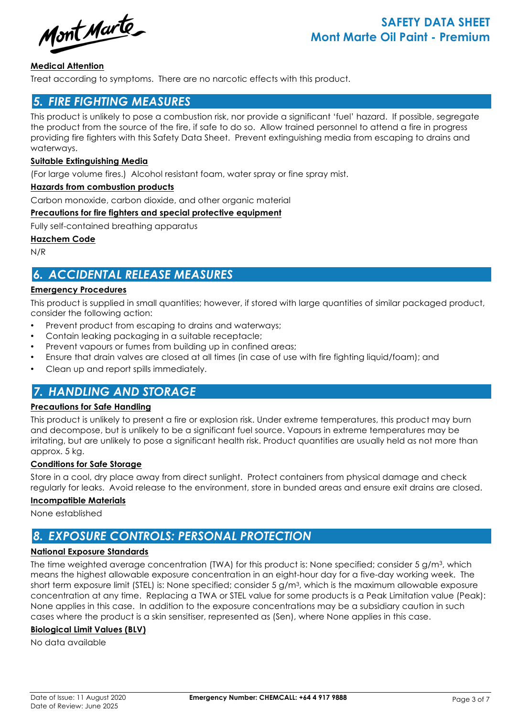Mont Marte

### **Medical Attention**

Treat according to symptoms. There are no narcotic effects with this product.

# *5. FIRE FIGHTING MEASURES*

This product is unlikely to pose a combustion risk, nor provide a significant 'fuel' hazard. If possible, segregate the product from the source of the fire, if safe to do so. Allow trained personnel to attend a fire in progress providing fire fighters with this Safety Data Sheet. Prevent extinguishing media from escaping to drains and waterways.

### **Suitable Extinguishing Media**

(For large volume fires.) Alcohol resistant foam, water spray or fine spray mist.

### **Hazards from combustion products**

Carbon monoxide, carbon dioxide, and other organic material

### **Precautions for fire fighters and special protective equipment**

Fully self-contained breathing apparatus

### **Hazchem Code**

N/R

# *6. ACCIDENTAL RELEASE MEASURES*

### **Emergency Procedures**

This product is supplied in small quantities; however, if stored with large quantities of similar packaged product, consider the following action:

- Prevent product from escaping to drains and waterways;
- Contain leaking packaging in a suitable receptacle;
- Prevent vapours or fumes from building up in confined areas;
- Ensure that drain valves are closed at all times (in case of use with fire fighting liquid/foam); and
- Clean up and report spills immediately.

# *7. HANDLING AND STORAGE*

### **Precautions for Safe Handling**

This product is unlikely to present a fire or explosion risk. Under extreme temperatures, this product may burn and decompose, but is unlikely to be a significant fuel source. Vapours in extreme temperatures may be irritating, but are unlikely to pose a significant health risk. Product quantities are usually held as not more than approx. 5 kg.

### **Conditions for Safe Storage**

Store in a cool, dry place away from direct sunlight. Protect containers from physical damage and check regularly for leaks. Avoid release to the environment, store in bunded areas and ensure exit drains are closed.

### **Incompatible Materials**

None established

# *8. EXPOSURE CONTROLS: PERSONAL PROTECTION*

### **National Exposure Standards**

The time weighted average concentration (TWA) for this product is: None specified; consider 5 g/m3, which means the highest allowable exposure concentration in an eight-hour day for a five-day working week. The short term exposure limit (STEL) is: None specified; consider 5 g/m3, which is the maximum allowable exposure concentration at any time. Replacing a TWA or STEL value for some products is a Peak Limitation value (Peak): None applies in this case. In addition to the exposure concentrations may be a subsidiary caution in such cases where the product is a skin sensitiser, represented as (Sen), where None applies in this case.

### **Biological Limit Values (BLV)**

No data available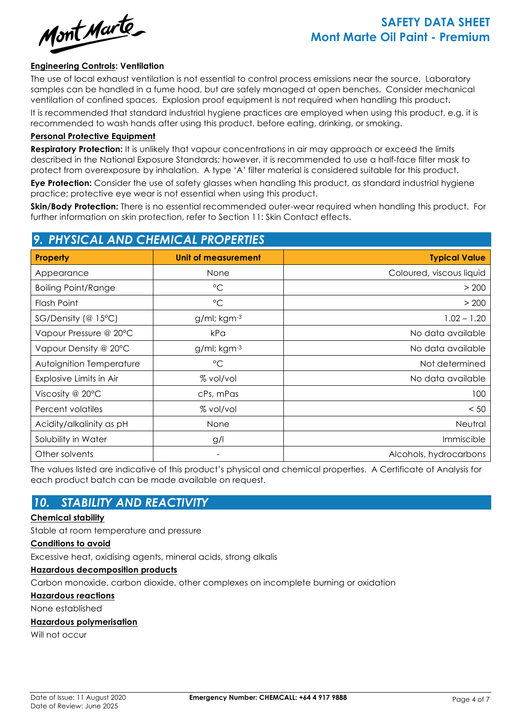Mont Marte

### **Engineering Controls: Ventilation**

The use of local exhaust ventilation is not essential to control process emissions near the source. Laboratory samples can be handled in a fume hood, but are safely managed at open benches. Consider mechanical ventilation of confined spaces. Explosion proof equipment is not required when handling this product.

It is recommended that standard industrial hygiene practices are employed when using this product, e.g. it is recommended to wash hands after using this product, before eating, drinking, or smoking.

#### **Personal Protective Equipment**

**Respiratory Protection:** It is unlikely that vapour concentrations in air may approach or exceed the limits described in the National Exposure Standards; however, it is recommended to use a half-face filter mask to protect from overexposure by inhalation. A type 'A' filter material is considered suitable for this product.

**Eye Protection:** Consider the use of safety glasses when handling this product, as standard industrial hygiene practice; protective eye wear is not essential when using this product.

**Skin/Body Protection:** There is no essential recommended outer-wear required when handling this product. For further information on skin protection, refer to Section 11: Skin Contact effects.

# *9. PHYSICAL AND CHEMICAL PROPERTIES* **Property Unit of measurement Typical Value** Appearance **None** None **None None None Coloured, viscous liquid** Boiling Point/Range  $\overline{C}$   $\overline{C}$   $\overline{C}$   $\overline{C}$   $\overline{C}$   $\overline{C}$   $\overline{C}$   $\overline{C}$   $\overline{C}$   $\overline{C}$   $\overline{C}$   $\overline{C}$   $\overline{C}$   $\overline{C}$   $\overline{C}$   $\overline{C}$   $\overline{C}$   $\overline{C}$   $\overline{C}$   $\overline{C}$   $\overline{C}$   $\overline{C}$   $\overline$ Flash Point °C > 200 SG/Density (@ 15°C) | a/ml; kam<sup>-3</sup> | 1.02 – 1.20 Vapour Pressure @ 20°C | kPa No data available Vapour Density @ 20°C  $\qquad$  g/ml; kgm-<sup>3</sup> No data available Autoignition Temperature  $\overline{C}$   $\overline{C}$   $\overline{C}$   $\overline{C}$   $\overline{C}$   $\overline{C}$   $\overline{C}$   $\overline{C}$   $\overline{C}$   $\overline{C}$   $\overline{C}$   $\overline{C}$   $\overline{C}$   $\overline{C}$   $\overline{C}$   $\overline{C}$   $\overline{C}$   $\overline{C}$   $\overline{C}$   $\overline{C}$   $\overline{C}$   $\overline{C}$ Explosive Limits in Air % vol/vol No data available Viscosity @ 20°C and the cPs, mPas 20°C cPs, mPas 20°C and the cPs of the cPs of the cPs of the cPs of the cPs of the cPs of the cPs of the cPs of the cPs of the cPs of the cPs of the cPs of the cPs of the cPs of the cPs o Percent volatiles  $\sim$  50  $\sim$  76 vol/vol  $\sim$  50 Acidity/alkalinity as pH None None Neutral Neutral Solubility in Water **and Immiscible g/l** Immiscible **g/l** Immiscible Other solvents and the Community of Alcohols, hydrocarbons and the Alcohols, hydrocarbons of Alcohols, hydrocarbons

The values listed are indicative of this product's physical and chemical properties. A Certificate of Analysis for each product batch can be made available on request.

# *10. STABILITY AND REACTIVITY*

### **Chemical stability**

Stable at room temperature and pressure

#### **Conditions to avoid**

Excessive heat, oxidising agents, mineral acids, strong alkalis

### **Hazardous decomposition products**

Carbon monoxide, carbon dioxide, other complexes on incomplete burning or oxidation

**Hazardous reactions**

None established

### **Hazardous polymerisation**

Will not occur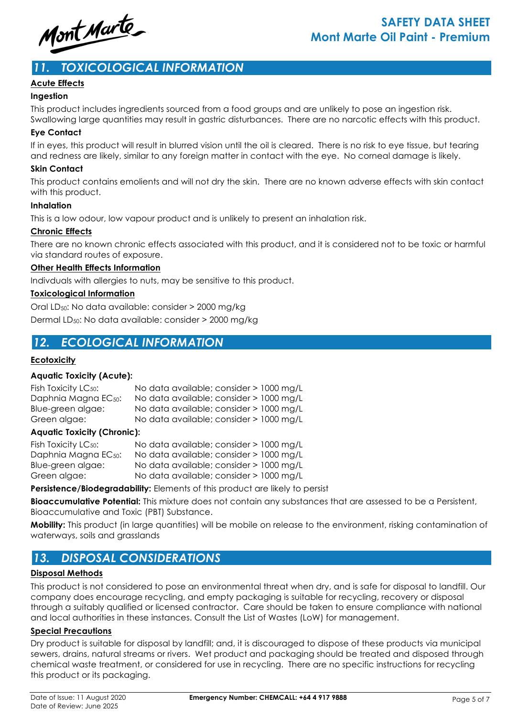

# *11. TOXICOLOGICAL INFORMATION*

### **Acute Effects**

### **Ingestion**

This product includes ingredients sourced from a food groups and are unlikely to pose an ingestion risk.

Swallowing large quantities may result in gastric disturbances. There are no narcotic effects with this product.

### **Eye Contact**

If in eyes, this product will result in blurred vision until the oil is cleared. There is no risk to eye tissue, but tearing and redness are likely, similar to any foreign matter in contact with the eye. No corneal damage is likely.

### **Skin Contact**

This product contains emolients and will not dry the skin. There are no known adverse effects with skin contact with this product.

### **Inhalation**

This is a low odour, low vapour product and is unlikely to present an inhalation risk.

### **Chronic Effects**

There are no known chronic effects associated with this product, and it is considered not to be toxic or harmful via standard routes of exposure.

### **Other Health Effects Information**

Indivduals with allergies to nuts, may be sensitive to this product.

### **Toxicological Information**

Oral LD50: No data available: consider > 2000 mg/kg Dermal LD50: No data available: consider > 2000 mg/kg

# *12. ECOLOGICAL INFORMATION*

### **Ecotoxicity**

### **Aquatic Toxicity (Acute):**

| Fish Toxicity LC <sub>50</sub> : | No data available; consider > 1000 mg/L |
|----------------------------------|-----------------------------------------|
| Daphnia Magna EC <sub>50</sub> : | No data available; consider > 1000 mg/L |
| Blue-green algae:                | No data available; consider > 1000 mg/L |
| Green algae:                     | No data available; consider > 1000 mg/L |

### **Aquatic Toxicity (Chronic):**

| Fish Toxicity LC <sub>50</sub> : | No data available; consider > 1000 mg/L |  |
|----------------------------------|-----------------------------------------|--|
| Daphnia Magna EC <sub>50</sub> : | No data available; consider > 1000 mg/L |  |
| Blue-green algae:                | No data available; consider > 1000 mg/L |  |
| Green algae:                     | No data available; consider > 1000 mg/L |  |

**Persistence/Biodegradability:** Elements of this product are likely to persist

**Bioaccumulative Potential:** This mixture does not contain any substances that are assessed to be a Persistent, Bioaccumulative and Toxic (PBT) Substance.

**Mobility:** This product (in large quantities) will be mobile on release to the environment, risking contamination of waterways, soils and grasslands

# *13. DISPOSAL CONSIDERATIONS*

### **Disposal Methods**

This product is not considered to pose an environmental threat when dry, and is safe for disposal to landfill. Our company does encourage recycling, and empty packaging is suitable for recycling, recovery or disposal through a suitably qualified or licensed contractor. Care should be taken to ensure compliance with national and local authorities in these instances. Consult the List of Wastes (LoW) for management.

### **Special Precautions**

Dry product is suitable for disposal by landfill; and, it is discouraged to dispose of these products via municipal sewers, drains, natural streams or rivers. Wet product and packaging should be treated and disposed through chemical waste treatment, or considered for use in recycling. There are no specific instructions for recycling this product or its packaging.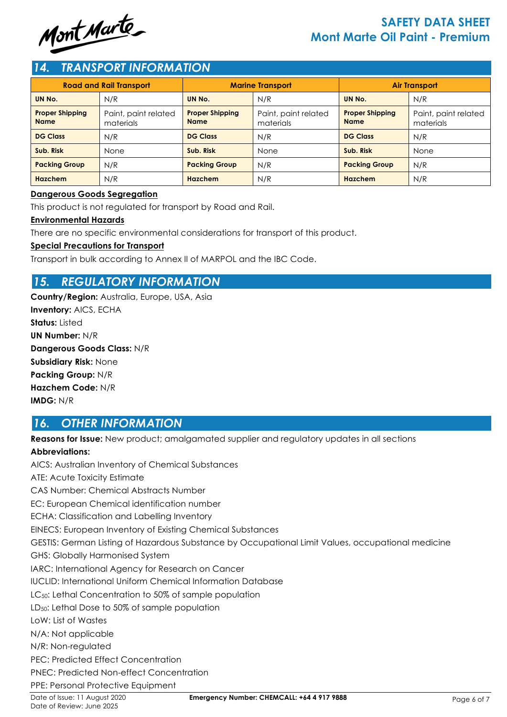

# **SAFETY DATA SHEET Mont Marte Oil Paint - Premium**

# *14. TRANSPORT INFORMATION*

| <b>Road and Rail Transport</b>        |                                   | <b>Marine Transport</b>               |                                   | <b>Air Transport</b>                  |                                   |
|---------------------------------------|-----------------------------------|---------------------------------------|-----------------------------------|---------------------------------------|-----------------------------------|
| UN No.                                | N/R                               | UN No.                                | N/R                               | UN No.                                | N/R                               |
| <b>Proper Shipping</b><br><b>Name</b> | Paint, paint related<br>materials | <b>Proper Shipping</b><br><b>Name</b> | Paint, paint related<br>materials | <b>Proper Shipping</b><br><b>Name</b> | Paint, paint related<br>materials |
| <b>DG Class</b>                       | N/R                               | <b>DG Class</b>                       | N/R                               | <b>DG Class</b>                       | N/R                               |
| Sub. Risk                             | None                              | Sub. Risk                             | <b>None</b>                       | Sub. Risk                             | None                              |
| <b>Packing Group</b>                  | N/R                               | <b>Packing Group</b>                  | N/R                               | <b>Packing Group</b>                  | N/R                               |
| <b>Hazchem</b>                        | N/R                               | <b>Hazchem</b>                        | N/R                               | Hazchem                               | N/R                               |

### **Dangerous Goods Segregation**

This product is not regulated for transport by Road and Rail.

### **Environmental Hazards**

There are no specific environmental considerations for transport of this product.

### **Special Precautions for Transport**

Transport in bulk according to Annex II of MARPOL and the IBC Code.

# *15. REGULATORY INFORMATION*

**Country/Region:** Australia, Europe, USA, Asia **Inventory:** AICS, ECHA Status: Listed **UN Number:** N/R **Dangerous Goods Class:** N/R **Subsidiary Risk:** None **Packing Group:** N/R **Hazchem Code:** N/R **IMDG:** N/R

# *16. OTHER INFORMATION*

**Reasons for Issue:** New product; amalgamated supplier and regulatory updates in all sections

### **Abbreviations:**

AICS: Australian Inventory of Chemical Substances ATE: Acute Toxicity Estimate CAS Number: Chemical Abstracts Number EC: European Chemical identification number ECHA: Classification and Labelling Inventory EINECS: European Inventory of Existing Chemical Substances GESTIS: German Listing of Hazardous Substance by Occupational Limit Values, occupational medicine GHS: Globally Harmonised System IARC: International Agency for Research on Cancer IUCLID: International Uniform Chemical Information Database LC<sub>50</sub>: Lethal Concentration to 50% of sample population LD<sub>50</sub>: Lethal Dose to 50% of sample population LoW: List of Wastes N/A: Not applicable N/R: Non-regulated PEC: Predicted Effect Concentration PNEC: Predicted Non-effect Concentration PPE: Personal Protective Equipment